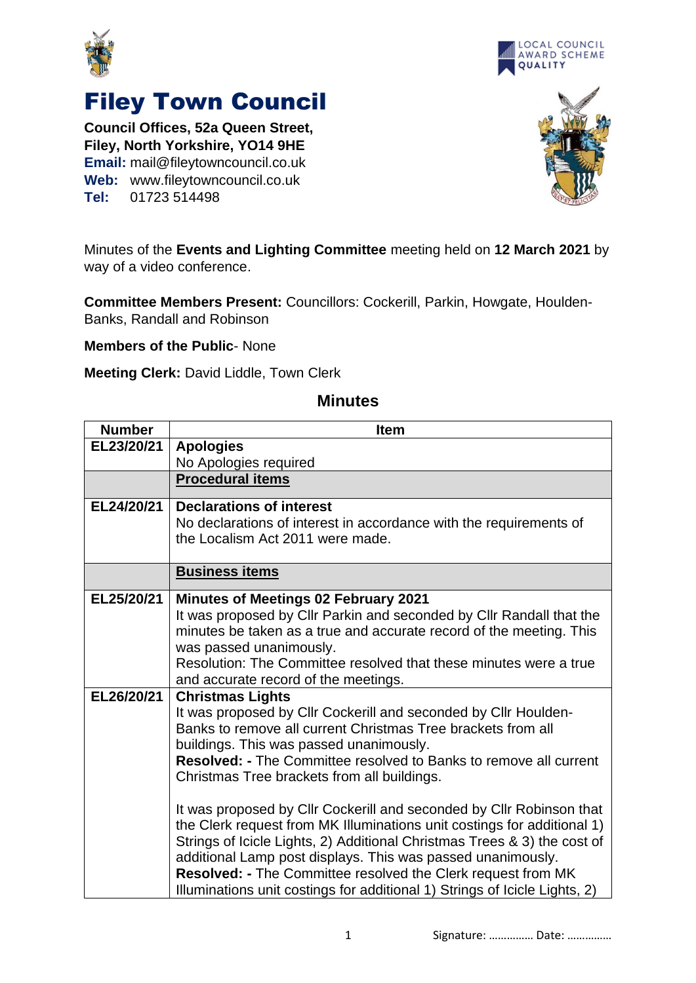



## Filey Town Council

**Council Offices, 52a Queen Street, Filey, North Yorkshire, YO14 9HE Email:** mail@fileytowncouncil.co.uk **Web:** www.fileytowncouncil.co.uk **Tel:** 01723 514498



Minutes of the **Events and Lighting Committee** meeting held on **12 March 2021** by way of a video conference.

**Committee Members Present:** Councillors: Cockerill, Parkin, Howgate, Houlden-Banks, Randall and Robinson

**Members of the Public**- None

**Meeting Clerk:** David Liddle, Town Clerk

## **Minutes**

| <b>Number</b> | <b>Item</b>                                                                                                                                                                                                                                                                                                                                                                                                                                                                                                                                                                                                                                                                                                                                                                  |
|---------------|------------------------------------------------------------------------------------------------------------------------------------------------------------------------------------------------------------------------------------------------------------------------------------------------------------------------------------------------------------------------------------------------------------------------------------------------------------------------------------------------------------------------------------------------------------------------------------------------------------------------------------------------------------------------------------------------------------------------------------------------------------------------------|
| EL23/20/21    | <b>Apologies</b>                                                                                                                                                                                                                                                                                                                                                                                                                                                                                                                                                                                                                                                                                                                                                             |
|               | No Apologies required                                                                                                                                                                                                                                                                                                                                                                                                                                                                                                                                                                                                                                                                                                                                                        |
|               | <b>Procedural items</b>                                                                                                                                                                                                                                                                                                                                                                                                                                                                                                                                                                                                                                                                                                                                                      |
| EL24/20/21    | <b>Declarations of interest</b><br>No declarations of interest in accordance with the requirements of<br>the Localism Act 2011 were made.                                                                                                                                                                                                                                                                                                                                                                                                                                                                                                                                                                                                                                    |
|               | <b>Business items</b>                                                                                                                                                                                                                                                                                                                                                                                                                                                                                                                                                                                                                                                                                                                                                        |
| EL25/20/21    | <b>Minutes of Meetings 02 February 2021</b><br>It was proposed by Cllr Parkin and seconded by Cllr Randall that the<br>minutes be taken as a true and accurate record of the meeting. This<br>was passed unanimously.<br>Resolution: The Committee resolved that these minutes were a true<br>and accurate record of the meetings.                                                                                                                                                                                                                                                                                                                                                                                                                                           |
| EL26/20/21    | <b>Christmas Lights</b><br>It was proposed by Cllr Cockerill and seconded by Cllr Houlden-<br>Banks to remove all current Christmas Tree brackets from all<br>buildings. This was passed unanimously.<br><b>Resolved: - The Committee resolved to Banks to remove all current</b><br>Christmas Tree brackets from all buildings.<br>It was proposed by Cllr Cockerill and seconded by Cllr Robinson that<br>the Clerk request from MK Illuminations unit costings for additional 1)<br>Strings of Icicle Lights, 2) Additional Christmas Trees & 3) the cost of<br>additional Lamp post displays. This was passed unanimously.<br>Resolved: - The Committee resolved the Clerk request from MK<br>Illuminations unit costings for additional 1) Strings of Icicle Lights, 2) |